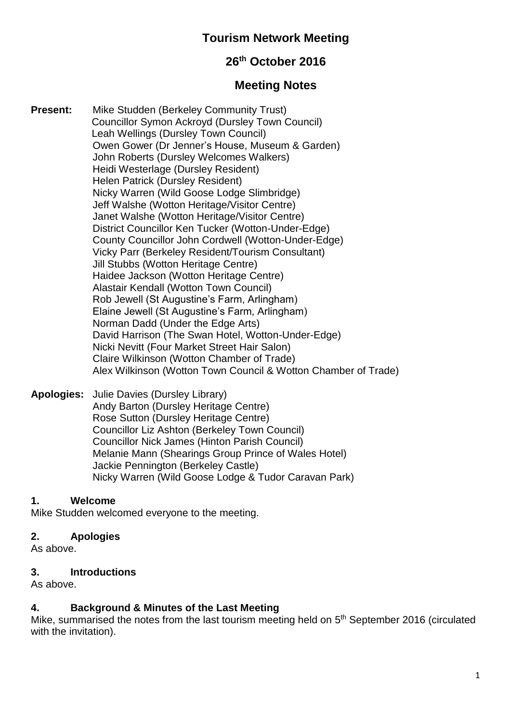# **Tourism Network Meeting**

# **26th October 2016**

## **Meeting Notes**

**Present:** Mike Studden (Berkeley Community Trust) Councillor Symon Ackroyd (Dursley Town Council) Leah Wellings (Dursley Town Council) Owen Gower (Dr Jenner's House, Museum & Garden) John Roberts (Dursley Welcomes Walkers) Heidi Westerlage (Dursley Resident) Helen Patrick (Dursley Resident) Nicky Warren (Wild Goose Lodge Slimbridge) Jeff Walshe (Wotton Heritage/Visitor Centre) Janet Walshe (Wotton Heritage/Visitor Centre) District Councillor Ken Tucker (Wotton-Under-Edge) County Councillor John Cordwell (Wotton-Under-Edge) Vicky Parr (Berkeley Resident/Tourism Consultant) Jill Stubbs (Wotton Heritage Centre) Haidee Jackson (Wotton Heritage Centre) Alastair Kendall (Wotton Town Council) Rob Jewell (St Augustine's Farm, Arlingham) Elaine Jewell (St Augustine's Farm, Arlingham) Norman Dadd (Under the Edge Arts) David Harrison (The Swan Hotel, Wotton-Under-Edge) Nicki Nevitt (Four Market Street Hair Salon) Claire Wilkinson (Wotton Chamber of Trade) Alex Wilkinson (Wotton Town Council & Wotton Chamber of Trade)

**Apologies:** Julie Davies (Dursley Library) Andy Barton (Dursley Heritage Centre) Rose Sutton (Dursley Heritage Centre) Councillor Liz Ashton (Berkeley Town Council) Councillor Nick James (Hinton Parish Council) Melanie Mann (Shearings Group Prince of Wales Hotel) Jackie Pennington (Berkeley Castle) Nicky Warren (Wild Goose Lodge & Tudor Caravan Park)

#### **1. Welcome**

Mike Studden welcomed everyone to the meeting.

#### **2. Apologies**

As above.

#### **3. Introductions**

As above.

#### **4. Background & Minutes of the Last Meeting**

Mike, summarised the notes from the last tourism meeting held on 5<sup>th</sup> September 2016 (circulated with the invitation).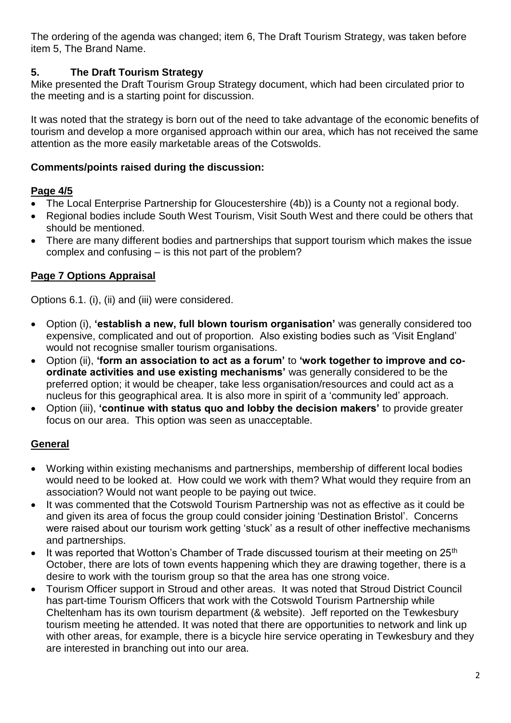The ordering of the agenda was changed; item 6, The Draft Tourism Strategy, was taken before item 5, The Brand Name.

## **5. The Draft Tourism Strategy**

Mike presented the Draft Tourism Group Strategy document, which had been circulated prior to the meeting and is a starting point for discussion.

It was noted that the strategy is born out of the need to take advantage of the economic benefits of tourism and develop a more organised approach within our area, which has not received the same attention as the more easily marketable areas of the Cotswolds.

### **Comments/points raised during the discussion:**

### **Page 4/5**

- The Local Enterprise Partnership for Gloucestershire (4b)) is a County not a regional body.
- Regional bodies include South West Tourism, Visit South West and there could be others that should be mentioned.
- There are many different bodies and partnerships that support tourism which makes the issue complex and confusing – is this not part of the problem?

## **Page 7 Options Appraisal**

Options 6.1. (i), (ii) and (iii) were considered.

- Option (i), **'establish a new, full blown tourism organisation'** was generally considered too expensive, complicated and out of proportion. Also existing bodies such as 'Visit England' would not recognise smaller tourism organisations.
- Option (ii), **'form an association to act as a forum'** to **'work together to improve and coordinate activities and use existing mechanisms'** was generally considered to be the preferred option; it would be cheaper, take less organisation/resources and could act as a nucleus for this geographical area. It is also more in spirit of a 'community led' approach.
- Option (iii), **'continue with status quo and lobby the decision makers'** to provide greater focus on our area. This option was seen as unacceptable.

## **General**

- Working within existing mechanisms and partnerships, membership of different local bodies would need to be looked at. How could we work with them? What would they require from an association? Would not want people to be paying out twice.
- It was commented that the Cotswold Tourism Partnership was not as effective as it could be and given its area of focus the group could consider joining 'Destination Bristol'. Concerns were raised about our tourism work getting 'stuck' as a result of other ineffective mechanisms and partnerships.
- It was reported that Wotton's Chamber of Trade discussed tourism at their meeting on  $25<sup>th</sup>$ October, there are lots of town events happening which they are drawing together, there is a desire to work with the tourism group so that the area has one strong voice.
- Tourism Officer support in Stroud and other areas. It was noted that Stroud District Council has part-time Tourism Officers that work with the Cotswold Tourism Partnership while Cheltenham has its own tourism department (& website). Jeff reported on the Tewkesbury tourism meeting he attended. It was noted that there are opportunities to network and link up with other areas, for example, there is a bicycle hire service operating in Tewkesbury and they are interested in branching out into our area.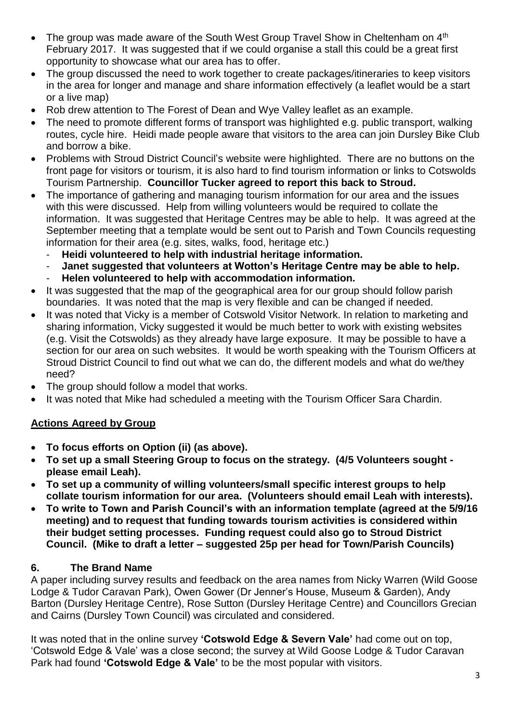- The group was made aware of the South West Group Travel Show in Cheltenham on 4<sup>th</sup> February 2017. It was suggested that if we could organise a stall this could be a great first opportunity to showcase what our area has to offer.
- The group discussed the need to work together to create packages/itineraries to keep visitors in the area for longer and manage and share information effectively (a leaflet would be a start or a live map)
- Rob drew attention to The Forest of Dean and Wye Valley leaflet as an example.
- The need to promote different forms of transport was highlighted e.g. public transport, walking routes, cycle hire. Heidi made people aware that visitors to the area can join Dursley Bike Club and borrow a bike.
- Problems with Stroud District Council's website were highlighted. There are no buttons on the front page for visitors or tourism, it is also hard to find tourism information or links to Cotswolds Tourism Partnership. **Councillor Tucker agreed to report this back to Stroud.**
- The importance of gathering and managing tourism information for our area and the issues with this were discussed. Help from willing volunteers would be required to collate the information. It was suggested that Heritage Centres may be able to help. It was agreed at the September meeting that a template would be sent out to Parish and Town Councils requesting information for their area (e.g. sites, walks, food, heritage etc.)
	- **Heidi volunteered to help with industrial heritage information.**
	- Janet suggested that volunteers at Wotton's Heritage Centre may be able to help.
	- **Helen volunteered to help with accommodation information.**
- It was suggested that the map of the geographical area for our group should follow parish boundaries. It was noted that the map is very flexible and can be changed if needed.
- It was noted that Vicky is a member of Cotswold Visitor Network. In relation to marketing and sharing information, Vicky suggested it would be much better to work with existing websites (e.g. Visit the Cotswolds) as they already have large exposure. It may be possible to have a section for our area on such websites. It would be worth speaking with the Tourism Officers at Stroud District Council to find out what we can do, the different models and what do we/they need?
- The group should follow a model that works.
- It was noted that Mike had scheduled a meeting with the Tourism Officer Sara Chardin.

### **Actions Agreed by Group**

- **To focus efforts on Option (ii) (as above).**
- **To set up a small Steering Group to focus on the strategy. (4/5 Volunteers sought please email Leah).**
- **To set up a community of willing volunteers/small specific interest groups to help collate tourism information for our area. (Volunteers should email Leah with interests).**
- **To write to Town and Parish Council's with an information template (agreed at the 5/9/16 meeting) and to request that funding towards tourism activities is considered within their budget setting processes. Funding request could also go to Stroud District Council. (Mike to draft a letter – suggested 25p per head for Town/Parish Councils)**

### **6. The Brand Name**

A paper including survey results and feedback on the area names from Nicky Warren (Wild Goose Lodge & Tudor Caravan Park), Owen Gower (Dr Jenner's House, Museum & Garden), Andy Barton (Dursley Heritage Centre), Rose Sutton (Dursley Heritage Centre) and Councillors Grecian and Cairns (Dursley Town Council) was circulated and considered.

It was noted that in the online survey **'Cotswold Edge & Severn Vale'** had come out on top, 'Cotswold Edge & Vale' was a close second; the survey at Wild Goose Lodge & Tudor Caravan Park had found **'Cotswold Edge & Vale'** to be the most popular with visitors.